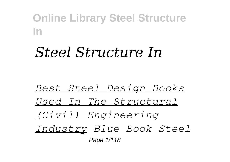# *Steel Structure In*

*Best Steel Design Books Used In The Structural (Civil) Engineering Industry Blue Book Steel* Page  $1/118$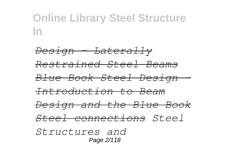*Design - Laterally Restrained Steel Beams Blue Book Steel Design - Introduction to Beam Design and the Blue Book Steel connections Steel Structures and* Page 2/118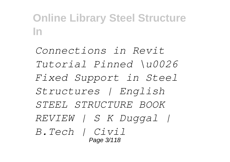*Connections in Revit Tutorial Pinned \u0026 Fixed Support in Steel Structures | English STEEL STRUCTURE BOOK REVIEW | S K Duggal | B.Tech | Civil* Page 3/118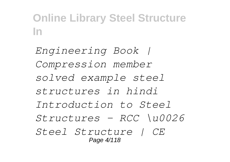*Engineering Book | Compression member solved example steel structures in hindi Introduction to Steel Structures - RCC \u0026 Steel Structure | CE* Page 4/118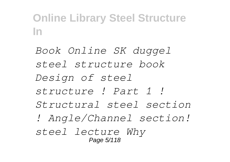*Book Online SK duggel steel structure book Design of steel structure ! Part 1 ! Structural steel section ! Angle/Channel section! steel lecture Why* Page 5/118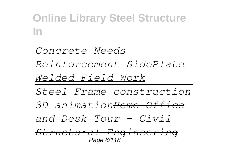*Concrete Needs Reinforcement SidePlate Welded Field Work Steel Frame construction 3D animationHome Office and Desk Tour - Civil Structural Engineering* Page 6/118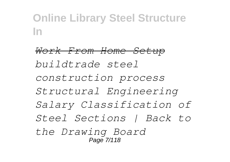*Work From Home Setup buildtrade steel construction process Structural Engineering Salary Classification of Steel Sections | Back to the Drawing Board* Page 7/118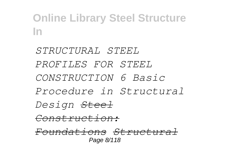*STRUCTURAL STEEL PROFILES FOR STEEL CONSTRUCTION 6 Basic Procedure in Structural Design Steel Construction: Foundations Structural* Page 8/118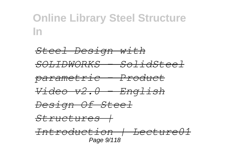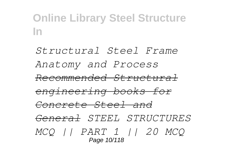*Structural Steel Frame Anatomy and Process Recommended Structural engineering books for Concrete Steel and General STEEL STRUCTURES MCQ || PART 1 || 20 MCQ* Page 10/118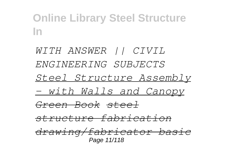*WITH ANSWER || CIVIL ENGINEERING SUBJECTS Steel Structure Assembly - with Walls and Canopy Green Book steel structure fabrication drawing/fabricator basic* Page 11/118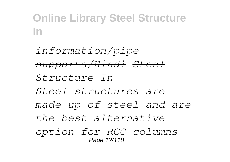*information/pipe supports/Hindi Steel Structure In Steel structures are made up of steel and are the best alternative option for RCC columns* Page 12/118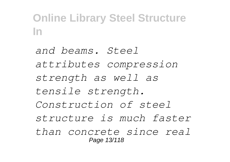*and beams. Steel attributes compression strength as well as tensile strength. Construction of steel structure is much faster than concrete since real* Page 13/118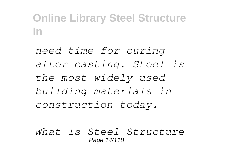*need time for curing after casting. Steel is the most widely used building materials in construction today.*

*What Is Steel Structure* Page 14/118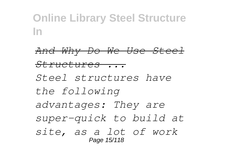*And Why Do We Use Steel Structures ... Steel structures have the following advantages: They are super-quick to build at site, as a lot of work* Page 15/118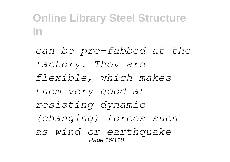*can be pre-fabbed at the factory. They are flexible, which makes them very good at resisting dynamic (changing) forces such as wind or earthquake* Page 16/118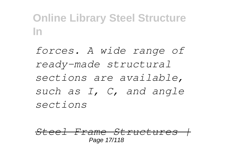*forces. A wide range of ready-made structural sections are available, such as I, C, and angle sections*

*Steel Frame Structures |* Page 17/118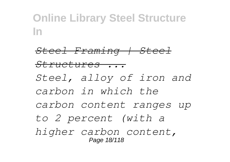*Steel Framing | Steel Structures ... Steel, alloy of iron and carbon in which the carbon content ranges up to 2 percent (with a higher carbon content,* Page 18/118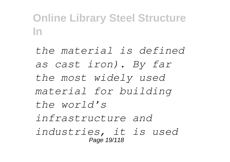*the material is defined as cast iron). By far the most widely used material for building the world's infrastructure and industries, it is used* Page 19/118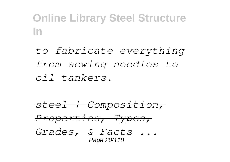*to fabricate everything from sewing needles to oil tankers.*

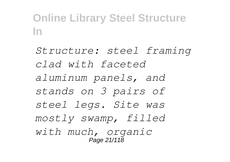*Structure: steel framing clad with faceted aluminum panels, and stands on 3 pairs of steel legs. Site was mostly swamp, filled with much, organic* Page 21/118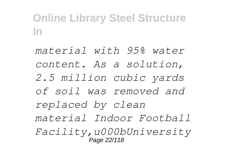*material with 95% water content. As a solution, 2.5 million cubic yards of soil was removed and replaced by clean material Indoor Football Facility,u000bUniversity* Page 22/118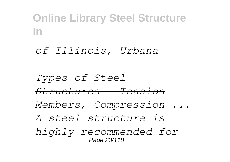#### *of Illinois, Urbana*

*Types of Steel Structures - Tension Members, Compression ... A steel structure is highly recommended for* Page 23/118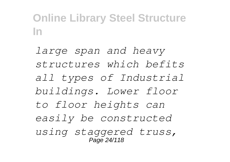*large span and heavy structures which befits all types of Industrial buildings. Lower floor to floor heights can easily be constructed using staggered truss,* Page 24/118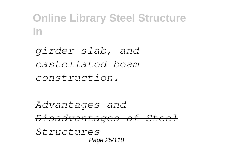*girder slab, and castellated beam construction.*

*Advantages and Disadvantages of Steel Structures* Page 25/118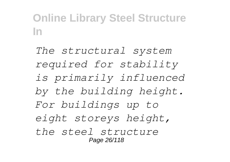*The structural system required for stability is primarily influenced by the building height. For buildings up to eight storeys height, the steel structure* Page 26/118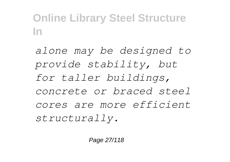*alone may be designed to provide stability, but for taller buildings, concrete or braced steel cores are more efficient structurally.*

Page 27/118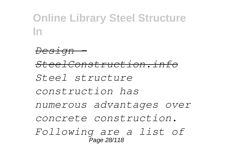*Design - SteelConstruction.info Steel structure construction has numerous advantages over concrete construction. Following are a list of* Page 28/118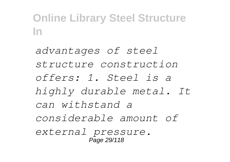*advantages of steel structure construction offers: 1. Steel is a highly durable metal. It can withstand a considerable amount of external pressure.* Page 29/118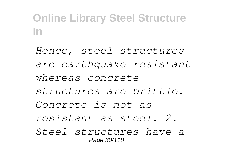*Hence, steel structures are earthquake resistant whereas concrete structures are brittle. Concrete is not as resistant as steel. 2. Steel structures have a* Page 30/118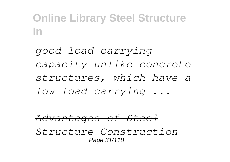*good load carrying capacity unlike concrete structures, which have a low load carrying ...*

*Advantages of Steel Structure Construction* Page 31/118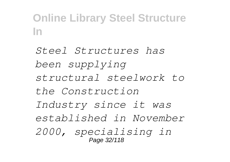*Steel Structures has been supplying structural steelwork to the Construction Industry since it was established in November 2000, specialising in* Page 32/118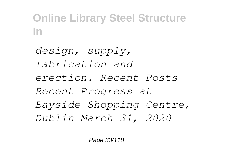*design, supply, fabrication and erection. Recent Posts Recent Progress at Bayside Shopping Centre, Dublin March 31, 2020*

Page 33/118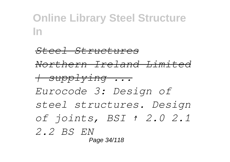*Steel Structures Northern Ireland Limited | supplying ... Eurocode 3: Design of steel structures. Design of joints, BSI ↑ 2.0 2.1 2.2 BS EN* Page 34/118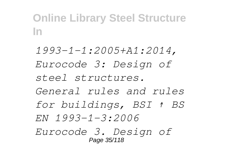*1993-1-1:2005+A1:2014, Eurocode 3: Design of steel structures. General rules and rules for buildings, BSI ↑ BS EN 1993-1-3:2006 Eurocode 3. Design of* Page 35/118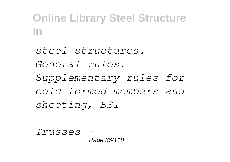# *steel structures. General rules. Supplementary rules for cold-formed members and sheeting, BSI*

$$
\frac{TTUSS}{Page\ 36/118}
$$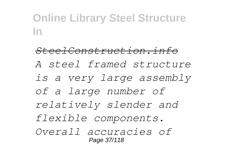*SteelConstruction.info A steel framed structure is a very large assembly of a large number of relatively slender and flexible components. Overall accuracies of* Page 37/118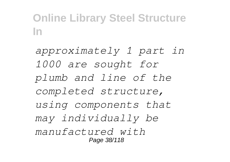*approximately 1 part in 1000 are sought for plumb and line of the completed structure, using components that may individually be manufactured with* Page 38/118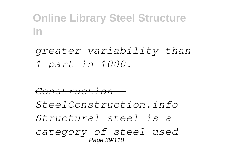*greater variability than 1 part in 1000.*

*Construction - SteelConstruction.info Structural steel is a category of steel used* Page 39/118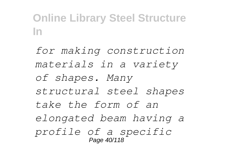*for making construction materials in a variety of shapes. Many structural steel shapes take the form of an elongated beam having a profile of a specific* Page 40/118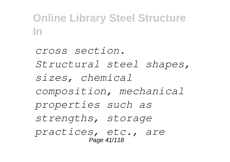*cross section. Structural steel shapes, sizes, chemical composition, mechanical properties such as strengths, storage practices, etc., are* Page 41/118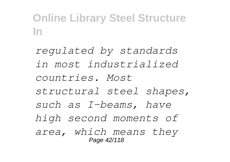*regulated by standards in most industrialized countries. Most structural steel shapes, such as I-beams, have high second moments of area, which means they* Page 42/118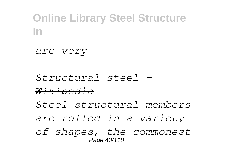*are very*

*Structural steel - Wikipedia Steel structural members are rolled in a variety of shapes, the commonest* Page 43/118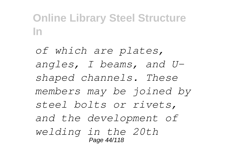*of which are plates, angles, I beams, and Ushaped channels. These members may be joined by steel bolts or rivets, and the development of welding in the 20th* Page 44/118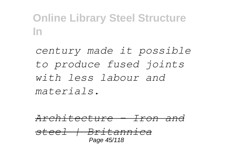*century made it possible to produce fused joints with less labour and materials.*

*Architecture - Iron and steel | Britannica* Page 45/118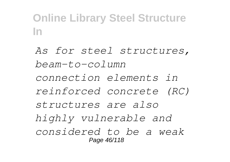*As for steel structures, beam-to-column connection elements in reinforced concrete (RC) structures are also highly vulnerable and considered to be a weak* Page 46/118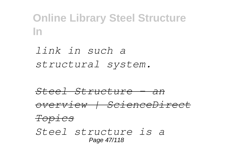*link in such a structural system.*

*Steel Structure - an overview | ScienceDirect Topics Steel structure is a* Page 47/118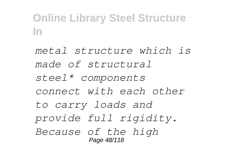*metal structure which is made of structural steel\* components connect with each other to carry loads and provide full rigidity. Because of the high* Page 48/118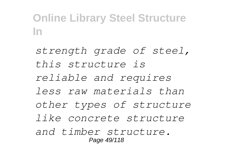*strength grade of steel, this structure is reliable and requires less raw materials than other types of structure like concrete structure and timber structure.* Page 49/118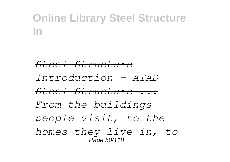*Steel Structure*

*Introduction - ATAD*

*Steel Structure ...*

*From the buildings people visit, to the homes they live in, to* Page 50/118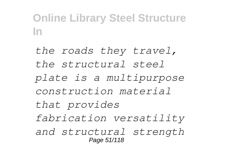*the roads they travel, the structural steel plate is a multipurpose construction material that provides fabrication versatility and structural strength* Page 51/118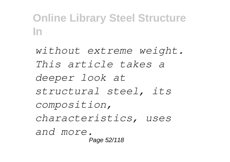*without extreme weight. This article takes a deeper look at structural steel, its composition, characteristics, uses and more.* Page 52/118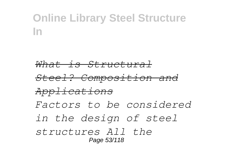*What is Structural*

*Steel? Composition and*

*Applications*

*Factors to be considered*

*in the design of steel*

*structures All the* Page 53/118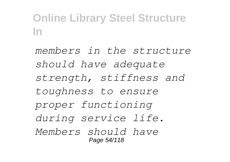*members in the structure should have adequate strength, stiffness and toughness to ensure proper functioning during service life. Members should have* Page 54/118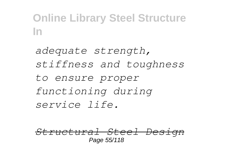*adequate strength, stiffness and toughness to ensure proper functioning during service life.*

*Structural Steel Design* Page 55/118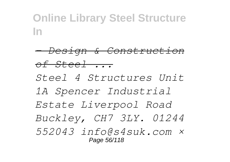*- Design & Construction of Steel ...*

*Steel 4 Structures Unit 1A Spencer Industrial Estate Liverpool Road Buckley, CH7 3LY. 01244 552043 info@s4suk.com ×* Page 56/118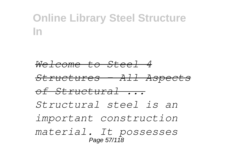*Welcome to Steel 4*

*Structures - All Aspects*

*of Structural ...*

*Structural steel is an*

*important construction*

*material. It possesses* Page 57/118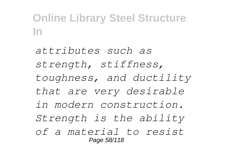*attributes such as strength, stiffness, toughness, and ductility that are very desirable in modern construction. Strength is the ability of a material to resist* Page 58/118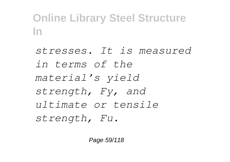*stresses. It is measured in terms of the material's yield strength, Fy, and ultimate or tensile strength, Fu.*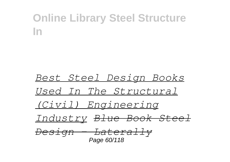#### *Best Steel Design Books Used In The Structural (Civil) Engineering Industry Blue Book Steel Design - Laterally* Page 60/118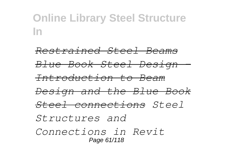*Restrained Steel Beams Blue Book Steel Design - Introduction to Beam Design and the Blue Book Steel connections Steel Structures and Connections in Revit* Page 61/118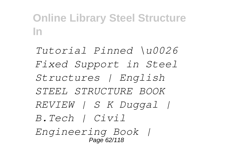*Tutorial Pinned \u0026 Fixed Support in Steel Structures | English STEEL STRUCTURE BOOK REVIEW | S K Duggal | B.Tech | Civil Engineering Book |* Page 62/118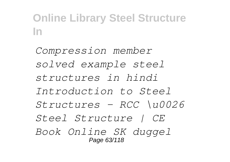*Compression member solved example steel structures in hindi Introduction to Steel Structures - RCC \u0026 Steel Structure | CE Book Online SK duggel* Page 63/118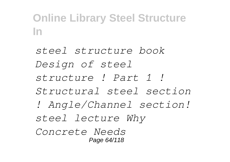*steel structure book Design of steel structure ! Part 1 ! Structural steel section ! Angle/Channel section! steel lecture Why Concrete Needs* Page 64/118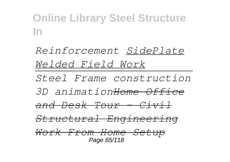*Reinforcement SidePlate Welded Field Work Steel Frame construction 3D animationHome Office and Desk Tour - Civil Structural Engineering Work From Home Setup* Page 65/118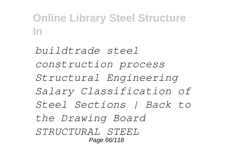*buildtrade steel construction process Structural Engineering Salary Classification of Steel Sections | Back to the Drawing Board STRUCTURAL STEEL* Page 66/118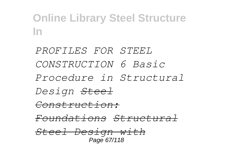*PROFILES FOR STEEL CONSTRUCTION 6 Basic Procedure in Structural Design Steel Construction: Foundations Structural Steel Design with* Page 67/118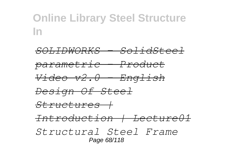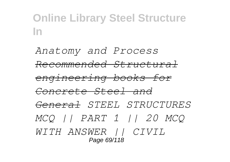*Anatomy and Process Recommended Structural engineering books for Concrete Steel and General STEEL STRUCTURES MCQ || PART 1 || 20 MCQ WITH ANSWER || CIVIL* Page 69/118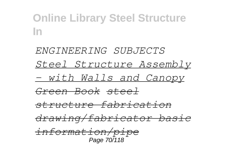*ENGINEERING SUBJECTS Steel Structure Assembly - with Walls and Canopy Green Book steel structure fabrication drawing/fabricator basic information/pipe* Page 70/118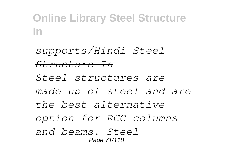*supports/Hindi Steel Structure In Steel structures are made up of steel and are the best alternative option for RCC columns and beams. Steel* Page 71/118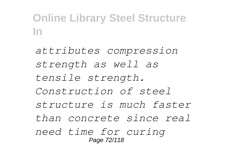*attributes compression strength as well as tensile strength. Construction of steel structure is much faster than concrete since real need time for curing* Page 72/118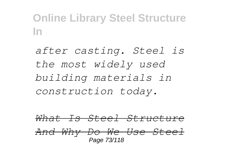*after casting. Steel is the most widely used building materials in construction today.*

*What Is Steel Structure And Why Do We Use Steel* Page 73/118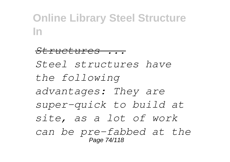*Structures ... Steel structures have the following advantages: They are super-quick to build at site, as a lot of work can be pre-fabbed at the* Page 74/118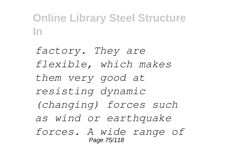*factory. They are flexible, which makes them very good at resisting dynamic (changing) forces such as wind or earthquake forces. A wide range of* Page 75/118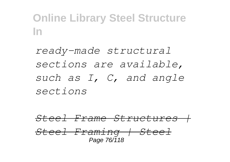*ready-made structural sections are available, such as I, C, and angle sections*

*Steel Frame Structures | Steel Framing | Steel* Page 76/118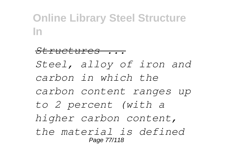*Structures ... Steel, alloy of iron and carbon in which the carbon content ranges up to 2 percent (with a higher carbon content, the material is defined* Page 77/118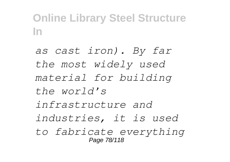*as cast iron). By far the most widely used material for building the world's infrastructure and industries, it is used to fabricate everything* Page 78/118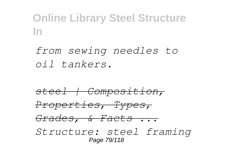*from sewing needles to oil tankers.*

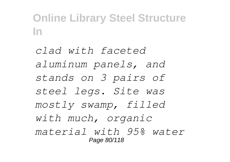*clad with faceted aluminum panels, and stands on 3 pairs of steel legs. Site was mostly swamp, filled with much, organic material with 95% water* Page 80/118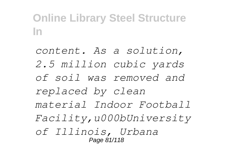*content. As a solution, 2.5 million cubic yards of soil was removed and replaced by clean material Indoor Football Facility,u000bUniversity of Illinois, Urbana* Page 81/118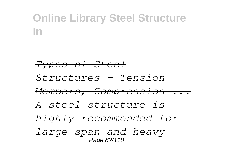*Types of Steel Structures - Tension Members, Compression ... A steel structure is highly recommended for large span and heavy* Page 82/118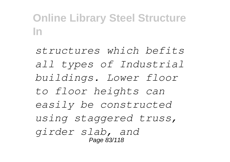*structures which befits all types of Industrial buildings. Lower floor to floor heights can easily be constructed using staggered truss, girder slab, and* Page 83/118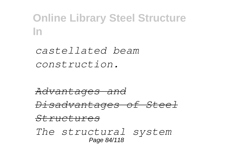*castellated beam construction.*

*Advantages and Disadvantages of Steel Structures The structural system* Page 84/118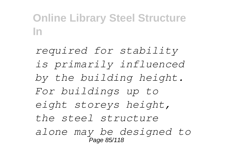*required for stability is primarily influenced by the building height. For buildings up to eight storeys height, the steel structure alone may be designed to* Page 85/118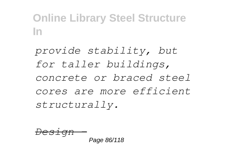*provide stability, but for taller buildings, concrete or braced steel cores are more efficient structurally.*

$$
\frac{Design -}{Page 86/118}
$$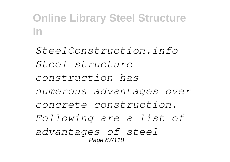*SteelConstruction.info Steel structure construction has numerous advantages over concrete construction. Following are a list of advantages of steel* Page 87/118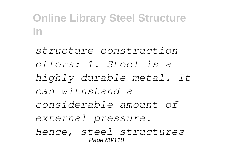*structure construction offers: 1. Steel is a highly durable metal. It can withstand a considerable amount of external pressure. Hence, steel structures* Page 88/118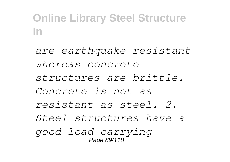*are earthquake resistant whereas concrete structures are brittle. Concrete is not as resistant as steel. 2. Steel structures have a good load carrying* Page 89/118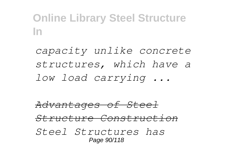*capacity unlike concrete structures, which have a low load carrying ...*

*Advantages of Steel Structure Construction Steel Structures has* Page 90/118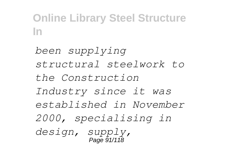*been supplying structural steelwork to the Construction Industry since it was established in November 2000, specialising in design, supply,* Page 91/118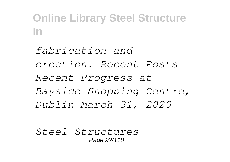*fabrication and erection. Recent Posts Recent Progress at Bayside Shopping Centre, Dublin March 31, 2020*

*Steel Structures* Page 92/118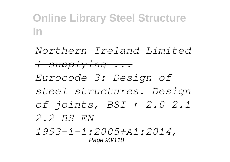*Northern Ireland Limited | supplying ... Eurocode 3: Design of steel structures. Design of joints, BSI ↑ 2.0 2.1 2.2 BS EN 1993-1-1:2005+A1:2014,* Page 93/118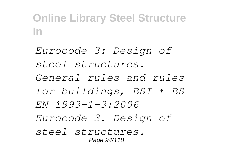*Eurocode 3: Design of steel structures. General rules and rules for buildings, BSI ↑ BS EN 1993-1-3:2006 Eurocode 3. Design of steel structures.* Page 94/118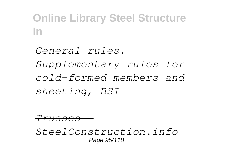*General rules. Supplementary rules for cold-formed members and sheeting, BSI*

*Trusses -*

*SteelConstruction.info* Page 95/118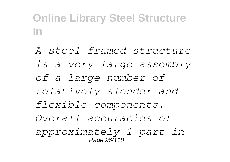*A steel framed structure is a very large assembly of a large number of relatively slender and flexible components. Overall accuracies of approximately 1 part in* Page 96/118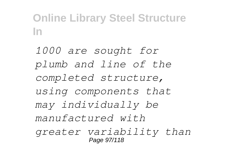*1000 are sought for plumb and line of the completed structure, using components that may individually be manufactured with greater variability than* Page 97/118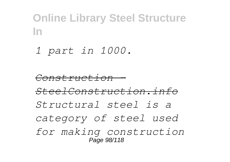*1 part in 1000.*

*Construction - SteelConstruction.info Structural steel is a category of steel used for making construction* Page 98/118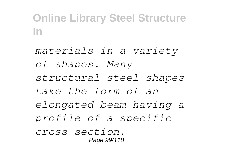*materials in a variety of shapes. Many structural steel shapes take the form of an elongated beam having a profile of a specific cross section.* Page 99/118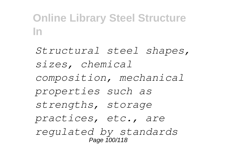*Structural steel shapes, sizes, chemical composition, mechanical properties such as strengths, storage practices, etc., are regulated by standards* Page 100/118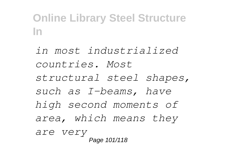*in most industrialized countries. Most structural steel shapes, such as I-beams, have high second moments of area, which means they are very* Page 101/118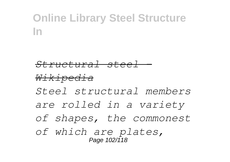#### *Structural steel - Wikipedia Steel structural members are rolled in a variety of shapes, the commonest of which are plates,* Page 102/118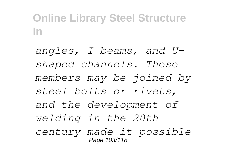*angles, I beams, and Ushaped channels. These members may be joined by steel bolts or rivets, and the development of welding in the 20th century made it possible* Page 103/118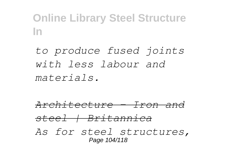*to produce fused joints with less labour and materials.*

*Architecture - Iron and steel | Britannica As for steel structures,* Page 104/118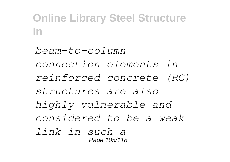*beam-to-column connection elements in reinforced concrete (RC) structures are also highly vulnerable and considered to be a weak link in such a* Page 105/118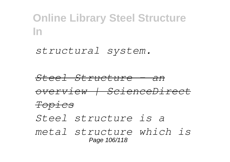*structural system.*

*Steel Structure - an overview | ScienceDirect Topics Steel structure is a metal structure which is* Page 106/118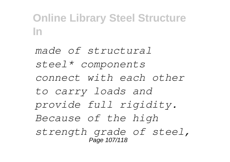*made of structural steel\* components connect with each other to carry loads and provide full rigidity. Because of the high strength grade of steel,* Page 107/118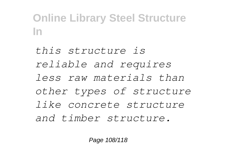*this structure is reliable and requires less raw materials than other types of structure like concrete structure and timber structure.*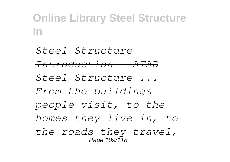*Steel Structure Introduction - ATAD Steel Structure ... From the buildings people visit, to the homes they live in, to the roads they travel,* Page 109/118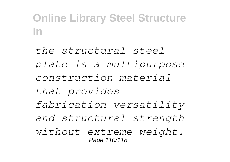*the structural steel plate is a multipurpose construction material that provides fabrication versatility and structural strength without extreme weight.* Page 110/118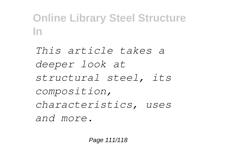*This article takes a deeper look at structural steel, its composition, characteristics, uses and more.*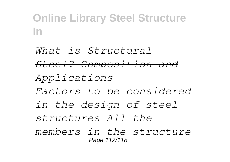*What is Structural Steel? Composition and Applications Factors to be considered in the design of steel structures All the members in the structure* Page 112/118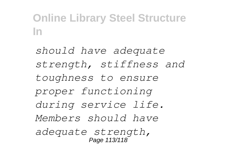*should have adequate strength, stiffness and toughness to ensure proper functioning during service life. Members should have adequate strength,* Page 113/118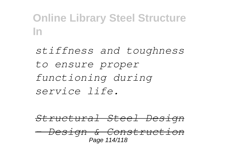*stiffness and toughness to ensure proper functioning during service life.*

*Structural Steel Design - Design & Construction* Page 114/118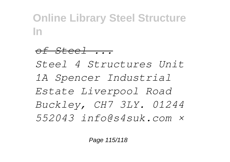*of Steel ... Steel 4 Structures Unit 1A Spencer Industrial Estate Liverpool Road Buckley, CH7 3LY. 01244 552043 info@s4suk.com ×*

Page 115/118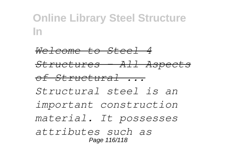*Welcome to Steel 4 Structures - All Aspects of Structural ... Structural steel is an important construction material. It possesses attributes such as* Page 116/118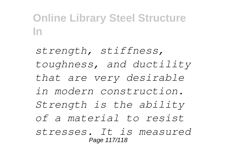*strength, stiffness, toughness, and ductility that are very desirable in modern construction. Strength is the ability of a material to resist stresses. It is measured* Page 117/118